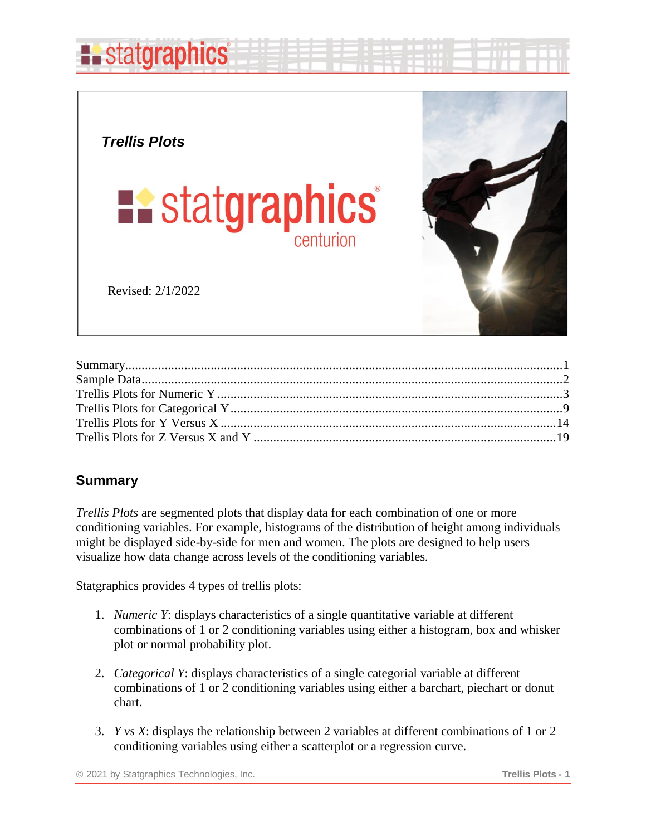

*Trellis Plots*



Revised: 2/1/2022



#### <span id="page-0-0"></span>**Summary**

*Trellis Plots* are segmented plots that display data for each combination of one or more conditioning variables. For example, histograms of the distribution of height among individuals might be displayed side-by-side for men and women. The plots are designed to help users visualize how data change across levels of the conditioning variables.

Statgraphics provides 4 types of trellis plots:

- 1. *Numeric Y*: displays characteristics of a single quantitative variable at different combinations of 1 or 2 conditioning variables using either a histogram, box and whisker plot or normal probability plot.
- 2. *Categorical Y*: displays characteristics of a single categorial variable at different combinations of 1 or 2 conditioning variables using either a barchart, piechart or donut chart.
- 3. *Y vs X*: displays the relationship between 2 variables at different combinations of 1 or 2 conditioning variables using either a scatterplot or a regression curve.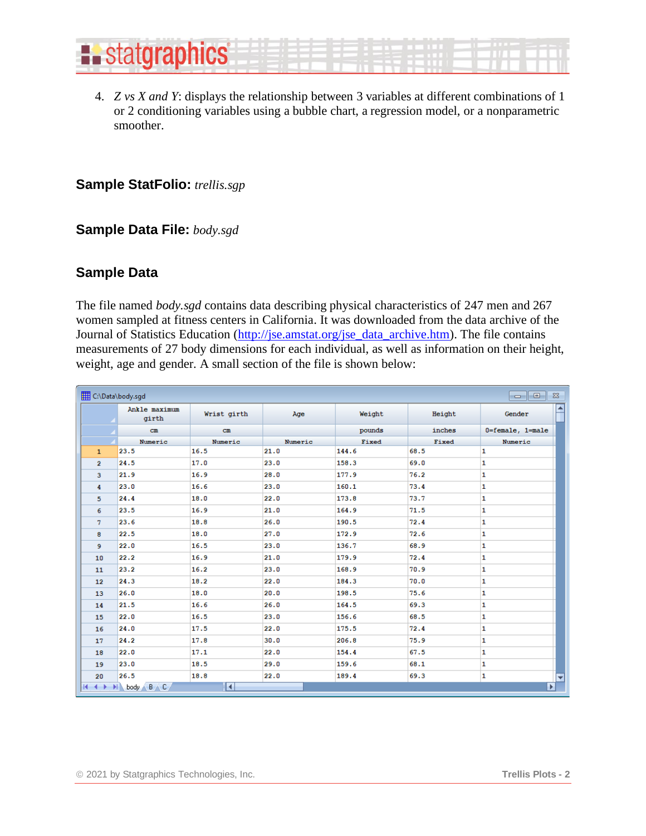

4. *Z vs X and Y*: displays the relationship between 3 variables at different combinations of 1 or 2 conditioning variables using a bubble chart, a regression model, or a nonparametric smoother.

#### **Sample StatFolio:** *trellis.sgp*

#### **Sample Data File:** *body.sgd*

#### <span id="page-1-0"></span>**Sample Data**

The file named *body.sgd* contains data describing physical characteristics of 247 men and 267 women sampled at fitness centers in California. It was downloaded from the data archive of the Journal of Statistics Education [\(http://jse.amstat.org/jse\\_data\\_archive.htm\)](http://jse.amstat.org/jse_data_archive.htm). The file contains measurements of 27 body dimensions for each individual, as well as information on their height, weight, age and gender. A small section of the file is shown below:

| C:\Data\body.sgd<br>$\Sigma$<br>l o<br>$\qquad \qquad \Box$ |                          |             |         |        |        |                  |
|-------------------------------------------------------------|--------------------------|-------------|---------|--------|--------|------------------|
|                                                             | Ankle maximum<br>girth   | Wrist girth | Age     | Weight | Height | ≜<br>Gender      |
|                                                             | $cm$                     | $cm$        |         | pounds | inches | 0=female, 1=male |
|                                                             | Numeric                  | Numeric     | Numeric | Fixed  | Fixed  | Numeric          |
| $\mathbf{1}$                                                | 23.5                     | 16.5        | 21.0    | 144.6  | 68.5   | 1                |
| $\overline{2}$                                              | 24.5                     | 17.0        | 23.0    | 158.3  | 69.0   | 1                |
| 3                                                           | 21.9                     | 16.9        | 28.0    | 177.9  | 76.2   | 1                |
| 4                                                           | 23.0                     | 16.6        | 23.0    | 160.1  | 73.4   | 1                |
| 5                                                           | 24.4                     | 18.0        | 22.0    | 173.8  | 73.7   | 1                |
| 6                                                           | 23.5                     | 16.9        | 21.0    | 164.9  | 71.5   | 1                |
| 7                                                           | 23.6                     | 18.8        | 26.0    | 190.5  | 72.4   | 1                |
| 8                                                           | 22.5                     | 18.0        | 27.0    | 172.9  | 72.6   | $\mathbf{1}$     |
| 9                                                           | 22.0                     | 16.5        | 23.0    | 136.7  | 68.9   | 1                |
| 10                                                          | 22.2                     | 16.9        | 21.0    | 179.9  | 72.4   | 1                |
| 11                                                          | 23.2                     | 16.2        | 23.0    | 168.9  | 70.9   | 1                |
| 12                                                          | 24.3                     | 18.2        | 22.0    | 184.3  | 70.0   | 1                |
| 13                                                          | 26.0                     | 18.0        | 20.0    | 198.5  | 75.6   | $\mathbf{1}$     |
| 14                                                          | 21.5                     | 16.6        | 26.0    | 164.5  | 69.3   | 1                |
| 15                                                          | 22.0                     | 16.5        | 23.0    | 156.6  | 68.5   | 1                |
| 16                                                          | 24.0                     | 17.5        | 22.0    | 175.5  | 72.4   | 1                |
| 17                                                          | 24.2                     | 17.8        | 30.0    | 206.8  | 75.9   | 1                |
| 18                                                          | 22.0                     | 17.1        | 22.0    | 154.4  | 67.5   | 1                |
| 19                                                          | 23.0                     | 18.5        | 29.0    | 159.6  | 68.1   | 1                |
| 20                                                          | 26.5                     | 18.8        | 22.0    | 189.4  | 69.3   | 1<br>≂           |
| $H \rightarrow$                                             | $B \wedge C$<br>H body A | ◘           |         |        |        | P.               |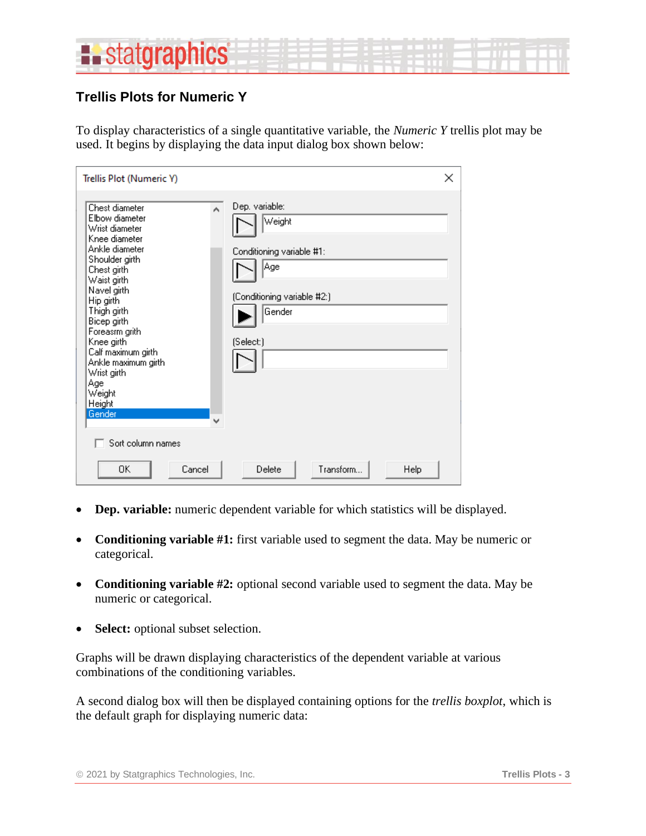

### <span id="page-2-0"></span>**Trellis Plots for Numeric Y**

To display characteristics of a single quantitative variable, the *Numeric Y* trellis plot may be used. It begins by displaying the data input dialog box shown below:

| Trellis Plot (Numeric Y)                                                                                                                                                                                                                                                                                                                                       | ×                                                                                                                   |
|----------------------------------------------------------------------------------------------------------------------------------------------------------------------------------------------------------------------------------------------------------------------------------------------------------------------------------------------------------------|---------------------------------------------------------------------------------------------------------------------|
| Chest diameter<br>A<br>Elbow diameter<br>Wrist diameter<br>Knee diameter<br>Ankle diameter<br>Shoulder girth<br>Chest girth<br>Waist girth<br>Navel girth<br>Hip girth<br>Thigh girth<br>Bicep girth<br>Foreasm grith<br>Knee girth<br>Calf maximum girth<br>Ankle maximum girth<br>Wrist girth<br>Age<br>Weight<br>Height<br>Gender<br>v<br>Sort column names | Dep. variable:<br>Weight<br>Conditioning variable #1:<br> Age<br>(Conditioning variable #2:)<br>Gender<br>(Select:) |
| 0K<br>Cancel                                                                                                                                                                                                                                                                                                                                                   | Transform<br>Delete<br>Help                                                                                         |

- **Dep. variable:** numeric dependent variable for which statistics will be displayed.
- **Conditioning variable #1:** first variable used to segment the data. May be numeric or categorical.
- **Conditioning variable #2:** optional second variable used to segment the data. May be numeric or categorical.
- Select: optional subset selection.

Graphs will be drawn displaying characteristics of the dependent variable at various combinations of the conditioning variables.

A second dialog box will then be displayed containing options for the *trellis boxplot*, which is the default graph for displaying numeric data: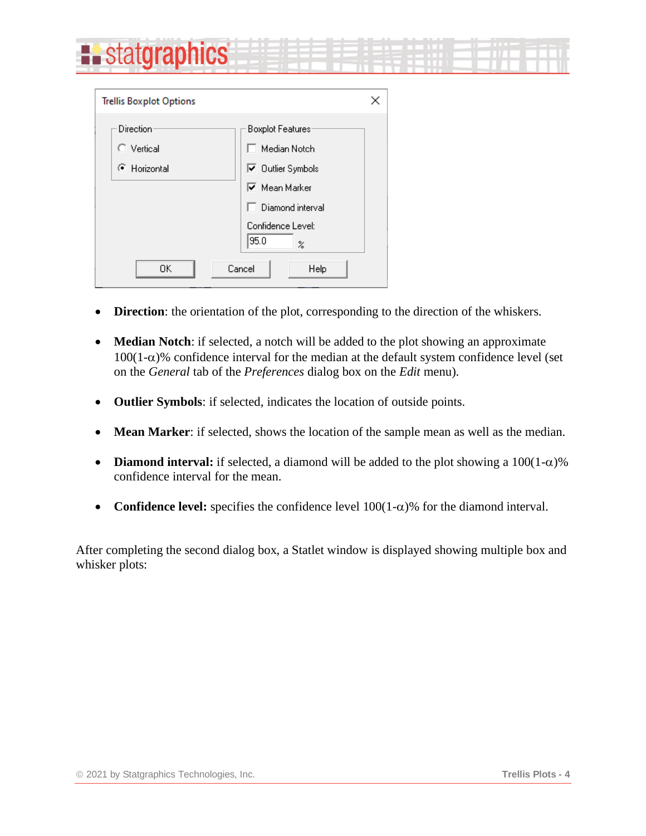| <b>Existatgraphics</b> | <b>New York Commission Commission</b> |  |
|------------------------|---------------------------------------|--|
|                        |                                       |  |

| <b>Trellis Boxplot Options</b> | ×                                     |
|--------------------------------|---------------------------------------|
| <b>Direction</b>               | Boxplot Features:                     |
| C Vertical                     | Median Notch                          |
| C Horizontal                   | <b>▽</b> Outlier Symbols              |
|                                | $\overline{\mathsf{v}}$ Mean Marker   |
|                                | Diamond interval                      |
|                                | Confidence Level:<br>95.0<br>$\rm{z}$ |
| 0K                             | Cancel<br>Help                        |

- **Direction**: the orientation of the plot, corresponding to the direction of the whiskers.
- **Median Notch**: if selected, a notch will be added to the plot showing an approximate  $100(1-\alpha)$ % confidence interval for the median at the default system confidence level (set on the *General* tab of the *Preferences* dialog box on the *Edit* menu).
- **Outlier Symbols**: if selected, indicates the location of outside points.
- **Mean Marker**: if selected, shows the location of the sample mean as well as the median.
- **Diamond interval:** if selected, a diamond will be added to the plot showing a  $100(1-\alpha)\%$ confidence interval for the mean.
- **Confidence level:** specifies the confidence level  $100(1-\alpha)$ % for the diamond interval.

After completing the second dialog box, a Statlet window is displayed showing multiple box and whisker plots: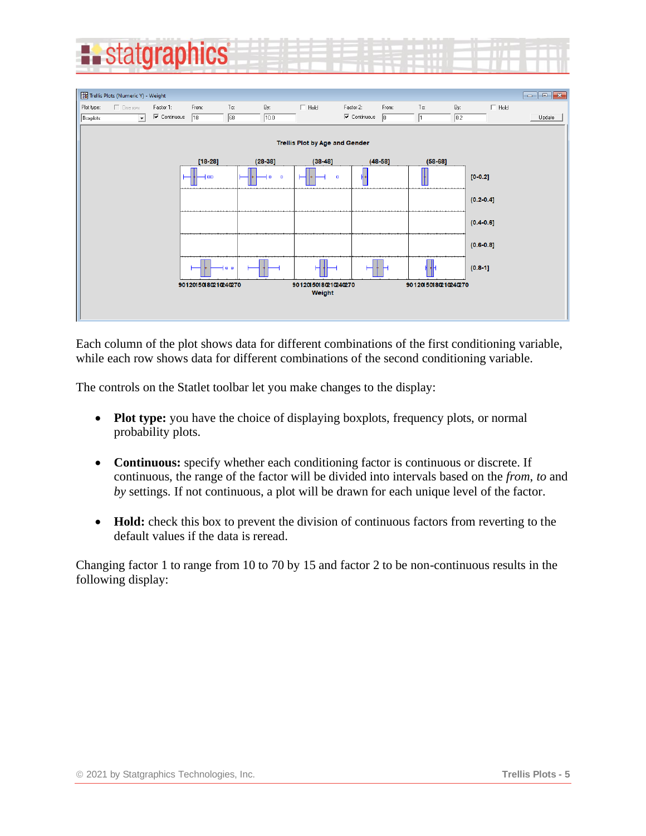



Each column of the plot shows data for different combinations of the first conditioning variable, while each row shows data for different combinations of the second conditioning variable.

The controls on the Statlet toolbar let you make changes to the display:

- **Plot type:** you have the choice of displaying boxplots, frequency plots, or normal probability plots.
- **Continuous:** specify whether each conditioning factor is continuous or discrete. If continuous, the range of the factor will be divided into intervals based on the *from*, *to* and *by* settings. If not continuous, a plot will be drawn for each unique level of the factor.
- **Hold:** check this box to prevent the division of continuous factors from reverting to the default values if the data is reread.

Changing factor 1 to range from 10 to 70 by 15 and factor 2 to be non-continuous results in the following display: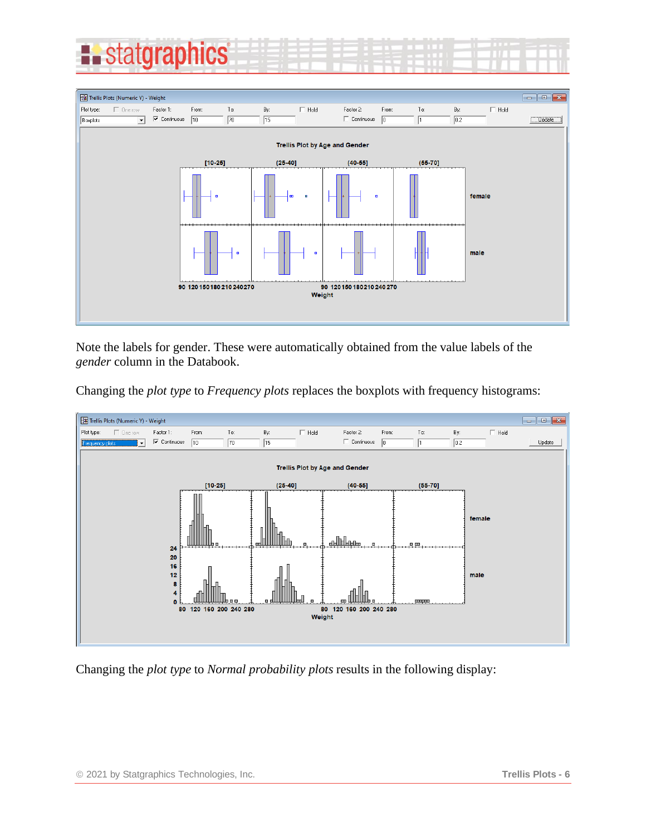



Note the labels for gender. These were automatically obtained from the value labels of the *gender* column in the Databook.

Changing the *plot type* to *Frequency plots* replaces the boxplots with frequency histograms:



Changing the *plot type* to *Normal probability plots* results in the following display: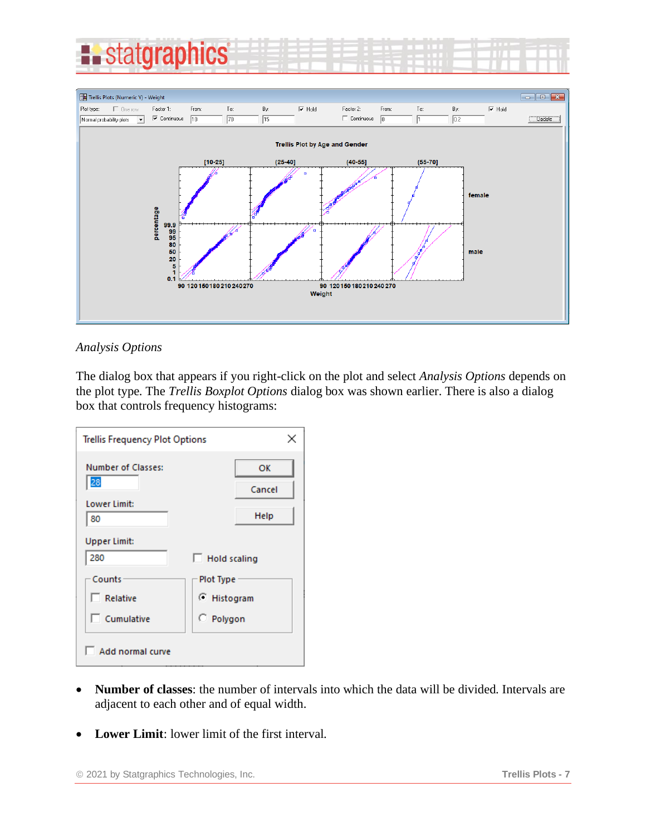



#### *Analysis Options*

The dialog box that appears if you right-click on the plot and select *Analysis Options* depends on the plot type. The *Trellis Boxplot Options* dialog box was shown earlier. There is also a dialog box that controls frequency histograms:

|                           | <b>Trellis Frequency Plot Options</b><br>× |  |  |  |  |  |
|---------------------------|--------------------------------------------|--|--|--|--|--|
| <b>Number of Classes:</b> | OK                                         |  |  |  |  |  |
| 28                        | Cancel                                     |  |  |  |  |  |
| Lower Limit:<br>80        | Help                                       |  |  |  |  |  |
| <b>Upper Limit:</b>       |                                            |  |  |  |  |  |
| 280                       | Hold scaling                               |  |  |  |  |  |
| Counts                    | Plot Type                                  |  |  |  |  |  |
| $\Box$ Relative           | C Histogram                                |  |  |  |  |  |
| $\Box$ Cumulative         | C Polygon                                  |  |  |  |  |  |
| Add normal curve          |                                            |  |  |  |  |  |

- **Number of classes**: the number of intervals into which the data will be divided. Intervals are adjacent to each other and of equal width.
- **Lower Limit**: lower limit of the first interval.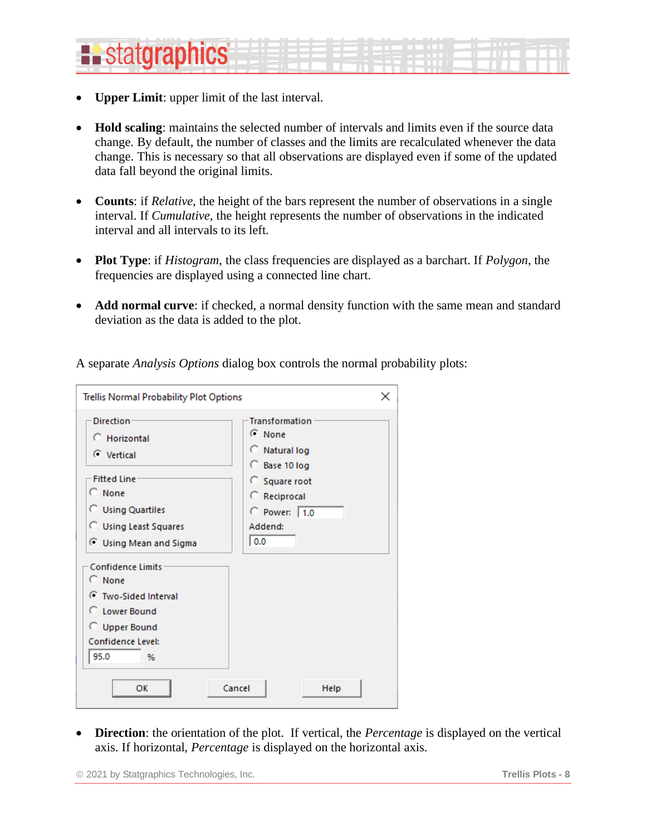# **E.** statgraphics

- **Upper Limit:** upper limit of the last interval.
- **Hold scaling**: maintains the selected number of intervals and limits even if the source data change. By default, the number of classes and the limits are recalculated whenever the data change. This is necessary so that all observations are displayed even if some of the updated data fall beyond the original limits.
- **Counts**: if *Relative*, the height of the bars represent the number of observations in a single interval. If *Cumulative*, the height represents the number of observations in the indicated interval and all intervals to its left.
- **Plot Type**: if *Histogram*, the class frequencies are displayed as a barchart. If *Polygon*, the frequencies are displayed using a connected line chart.
- **Add normal curve**: if checked, a normal density function with the same mean and standard deviation as the data is added to the plot.

| Trellis Normal Probability Plot Options                                                                                                                                                                           | $\times$                                                                                                                                      |
|-------------------------------------------------------------------------------------------------------------------------------------------------------------------------------------------------------------------|-----------------------------------------------------------------------------------------------------------------------------------------------|
| <b>Direction</b><br>C Horizontal<br>C Vertical<br><b>Fifted Line</b><br>$C$ None<br><b>C</b> Using Quartiles<br><b>C</b> Using Least Squares<br>C Using Mean and Sigma<br><b>Confidence Limits</b><br>$\cap$ None | <b>Transformation</b><br>C None<br>C Natural log<br>C Base 10 log<br>C Square root<br>C Reciprocal<br>$\degree$ Power: 1.0<br>Addend:<br> 0.0 |
| ⊙ Two-Sided Interval<br>C Lower Bound<br><b>C</b> Upper Bound<br>Confidence Level:<br>95.0<br>%<br>OK                                                                                                             | Cancel<br>Help                                                                                                                                |

A separate *Analysis Options* dialog box controls the normal probability plots:

• **Direction**: the orientation of the plot. If vertical, the *Percentage* is displayed on the vertical axis. If horizontal, *Percentage* is displayed on the horizontal axis.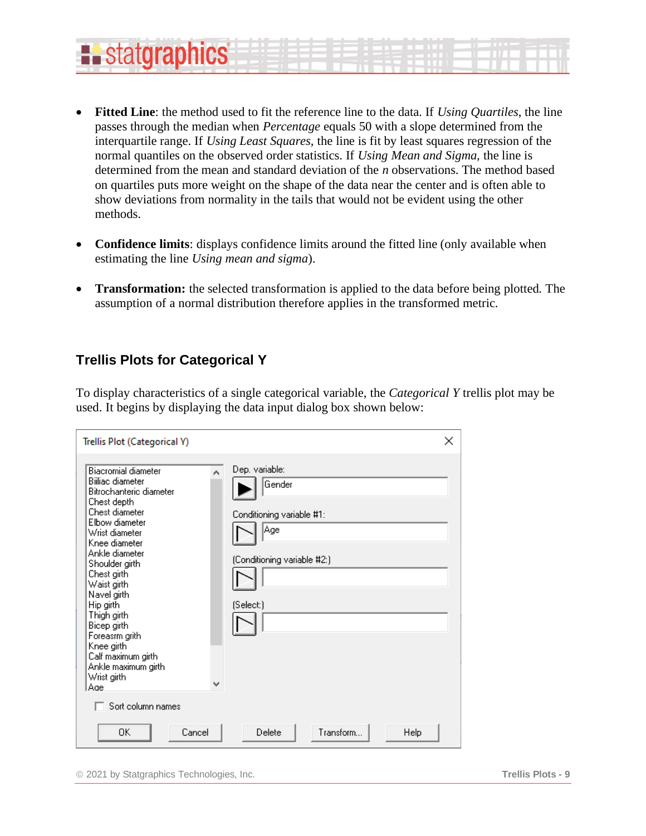#### • **Fitted Line**: the method used to fit the reference line to the data. If *Using Quartiles*, the line passes through the median when *Percentage* equals 50 with a slope determined from the interquartile range. If *Using Least Squares*, the line is fit by least squares regression of the normal quantiles on the observed order statistics. If *Using Mean and Sigma*, the line is determined from the mean and standard deviation of the *n* observations. The method based on quartiles puts more weight on the shape of the data near the center and is often able to show deviations from normality in the tails that would not be evident using the other methods.

- **Confidence limits**: displays confidence limits around the fitted line (only available when estimating the line *Using mean and sigma*).
- **Transformation:** the selected transformation is applied to the data before being plotted. The assumption of a normal distribution therefore applies in the transformed metric.

#### <span id="page-8-0"></span>**Trellis Plots for Categorical Y**

**E.** statgraphics

To display characteristics of a single categorical variable, the *Categorical Y* trellis plot may be used. It begins by displaying the data input dialog box shown below:

| Trellis Plot (Categorical Y)                                                                                                                                                                                                                                                                                                                                                                                                        | ×                                                                                                        |
|-------------------------------------------------------------------------------------------------------------------------------------------------------------------------------------------------------------------------------------------------------------------------------------------------------------------------------------------------------------------------------------------------------------------------------------|----------------------------------------------------------------------------------------------------------|
| <b>Biacromial diameter</b><br>А<br><b>Billiac diameter</b><br>Bitrochanteric diameter<br>Chest depth<br>Chest diameter<br>Elbow diameter<br>Wrist diameter<br>Knee diameter<br>Ankle diameter<br>Shoulder girth<br>Chest girth<br>Waist girth<br>Navel girth<br>Hip girth<br>Thigh girth<br>Bicep girth<br>Foreasm grith<br>Knee girth<br>Calf maximum girth<br>Ankle maximum girth<br>Wrist girth<br>v<br>Age<br>Sort column names | Dep. variable:<br>Gender<br>Conditioning variable #1:<br>Age<br>(Conditioning variable #2:)<br>(Select:) |
| 0K<br>Cancel                                                                                                                                                                                                                                                                                                                                                                                                                        | Transform<br>Delete<br>Help                                                                              |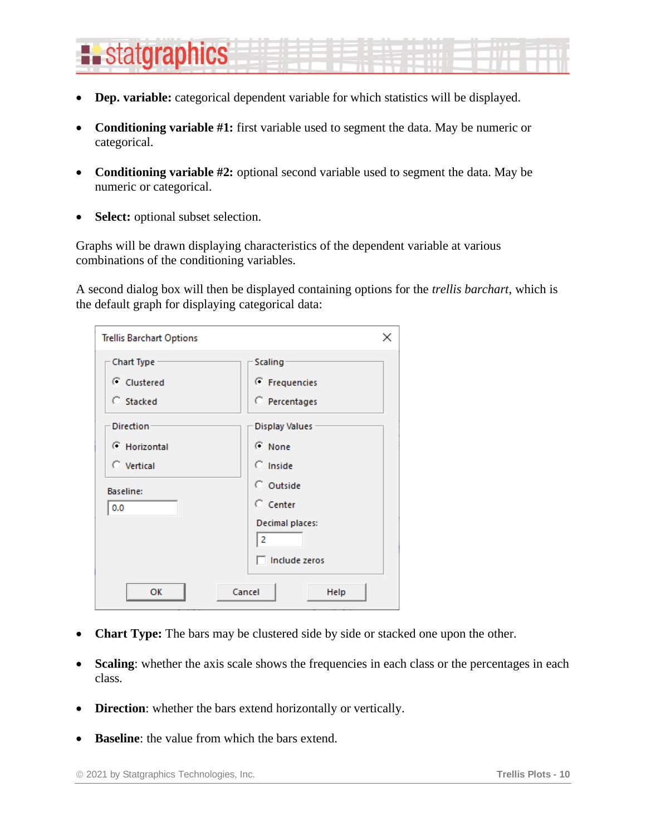# **E.** statgraphics

- **Dep. variable:** categorical dependent variable for which statistics will be displayed.
- **Conditioning variable #1:** first variable used to segment the data. May be numeric or categorical.
- **Conditioning variable #2:** optional second variable used to segment the data. May be numeric or categorical.
- **Select:** optional subset selection.

Graphs will be drawn displaying characteristics of the dependent variable at various combinations of the conditioning variables.

A second dialog box will then be displayed containing options for the *trellis barchart*, which is the default graph for displaying categorical data:

| <b>Trellis Barchart Options</b> | ×                     |
|---------------------------------|-----------------------|
| <b>Chart Type</b>               | <b>Scaling</b>        |
| C Clustered                     | ← Frequencies         |
| C Stacked                       | C Percentages         |
| <b>Direction</b>                | <b>Display Values</b> |
| <b>E</b> Horizontal             | C None                |
| C Vertical                      | $\bigcap$ Inside      |
| <b>Baseline:</b>                | C Outside             |
| 0.0                             | $\degree$ Center      |
|                                 | Decimal places:<br>2  |
|                                 | Include zeros         |
| OK                              | Cancel<br>Help        |

- **Chart Type:** The bars may be clustered side by side or stacked one upon the other.
- **Scaling**: whether the axis scale shows the frequencies in each class or the percentages in each class.
- **Direction**: whether the bars extend horizontally or vertically.
- **Baseline**: the value from which the bars extend.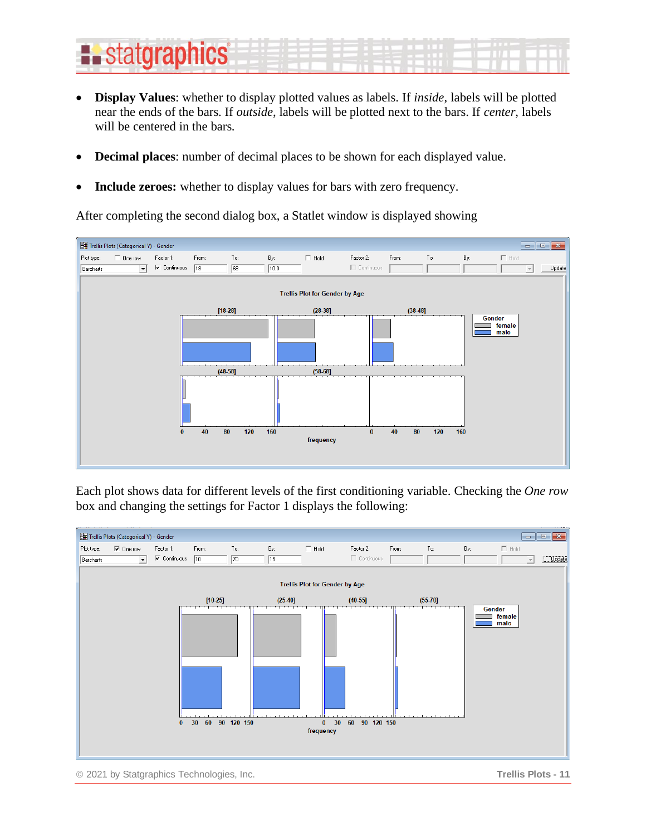# **Existatgraphics**

- **Display Values**: whether to display plotted values as labels. If *inside*, labels will be plotted near the ends of the bars. If *outside*, labels will be plotted next to the bars. If *center*, labels will be centered in the bars.
- **Decimal places**: number of decimal places to be shown for each displayed value.
- **Include zeroes:** whether to display values for bars with zero frequency.

After completing the second dialog box, a Statlet window is displayed showing



Each plot shows data for different levels of the first conditioning variable. Checking the *One row* box and changing the settings for Factor 1 displays the following:

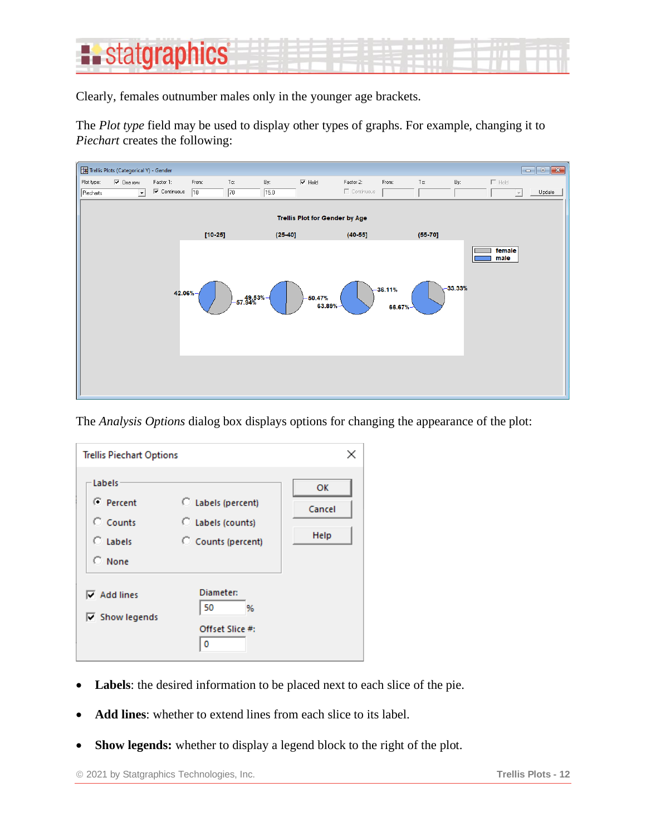### **:.** statgraphics

Clearly, females outnumber males only in the younger age brackets.

The *Plot type* field may be used to display other types of graphs. For example, changing it to *Piechart* creates the following:



The *Analysis Options* dialog box displays options for changing the appearance of the plot:

| <b>Trellis Piechart Options</b>                                           |                                                               | ×                    |
|---------------------------------------------------------------------------|---------------------------------------------------------------|----------------------|
| Labels<br>C Percent<br>$C$ Counts<br>C Labels<br>$C$ None                 | C Labels (percent)<br>C Labels (counts)<br>C Counts (percent) | ОΚ<br>Cancel<br>Help |
| $\overline{\mathsf{v}}$ Add lines<br>$\overline{\mathsf{v}}$ Show legends | Diameter:<br>50<br>%<br>Offset Slice #:<br>0                  |                      |

- **Labels**: the desired information to be placed next to each slice of the pie.
- **Add lines**: whether to extend lines from each slice to its label.
- **Show legends:** whether to display a legend block to the right of the plot.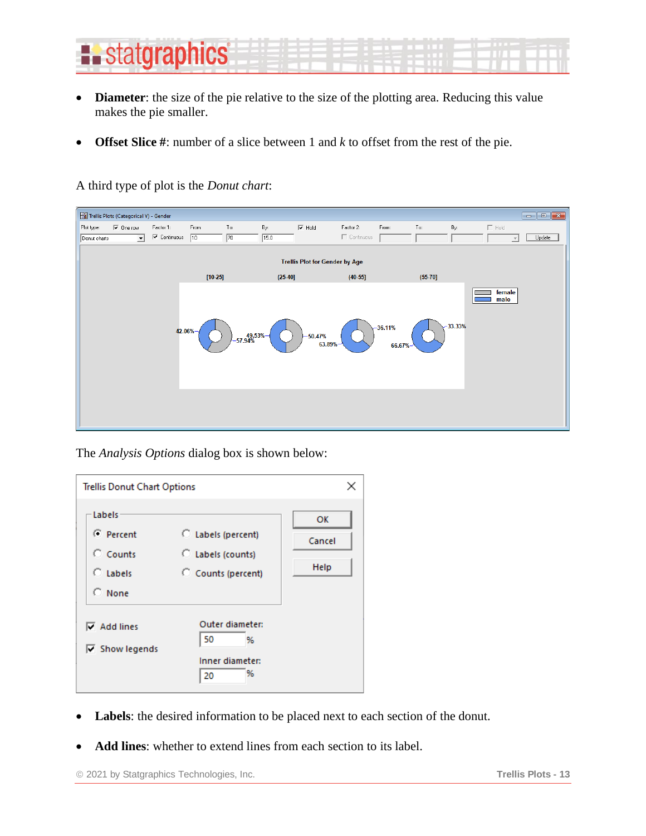

- **Diameter**: the size of the pie relative to the size of the plotting area. Reducing this value makes the pie smaller.
- **Offset Slice #**: number of a slice between 1 and *k* to offset from the rest of the pie.

A third type of plot is the *Donut chart*:

| Trellis Plots (Categorical Y) - Gender  |                                            |             |              |           |                                       |                   |                      |           |           |                          | $\begin{array}{c c c c c} \hline \multicolumn{1}{c }{-1} & \multicolumn{1}{c }{-1} & \multicolumn{1}{c }{-1} & \multicolumn{1}{c }{-1} & \multicolumn{1}{c }{-1} & \multicolumn{1}{c }{-1} & \multicolumn{1}{c }{-1} & \multicolumn{1}{c }{-1} & \multicolumn{1}{c }{-1} & \multicolumn{1}{c }{-1} & \multicolumn{1}{c }{-1} & \multicolumn{1}{c }{-1} & \multicolumn{1}{c }{-1} & \multicolumn{1}{c }{-1} & \multicolumn{1$ |
|-----------------------------------------|--------------------------------------------|-------------|--------------|-----------|---------------------------------------|-------------------|----------------------|-----------|-----------|--------------------------|------------------------------------------------------------------------------------------------------------------------------------------------------------------------------------------------------------------------------------------------------------------------------------------------------------------------------------------------------------------------------------------------------------------------------|
| Plot type:<br>$\overline{\vee}$ One row | Factor 1:                                  | From:       | To:          | By:       | $\nabla$ Hold                         | Factor 2:         | From:                | $To:$     | By:       | $\Box$ Hold              |                                                                                                                                                                                                                                                                                                                                                                                                                              |
| Donut charts<br>$\vert \cdot \vert$     | $\overline{\blacktriangledown}$ Continuous | $\sqrt{10}$ | $\sqrt{70}$  | 15.0      |                                       | $\Box$ Continuous |                      |           |           | $\overline{\phantom{a}}$ | Update                                                                                                                                                                                                                                                                                                                                                                                                                       |
|                                         |                                            |             |              |           | <b>Trellis Plot for Gender by Age</b> |                   |                      |           |           |                          |                                                                                                                                                                                                                                                                                                                                                                                                                              |
|                                         |                                            | $[10-25]$   |              | $(25-40)$ |                                       | $(40-55]$         |                      | $(55-70)$ |           |                          |                                                                                                                                                                                                                                                                                                                                                                                                                              |
|                                         | 42.06%                                     |             | $-49.53\%$ + |           | $-50.47%$<br>63.89%                   |                   | $-36.11%$<br>66.67%- |           | $-33.33%$ | female<br>male           |                                                                                                                                                                                                                                                                                                                                                                                                                              |

The *Analysis Options* dialog box is shown below:

| <b>Trellis Donut Chart Options</b>                         |                                                               | ×                    |
|------------------------------------------------------------|---------------------------------------------------------------|----------------------|
| Labels<br>C Percent<br>$C$ Counts<br>C Tabels<br>$C$ None  | C Labels (percent)<br>C Labels (counts)<br>C Counts (percent) | OK<br>Cancel<br>Help |
| $\overline{\mathsf{v}}$ Add lines<br>$\nabla$ Show legends | Outer diameter:<br>50<br>%<br>Inner diameter:<br>%<br>20      |                      |

- **Labels**: the desired information to be placed next to each section of the donut.
- **Add lines**: whether to extend lines from each section to its label.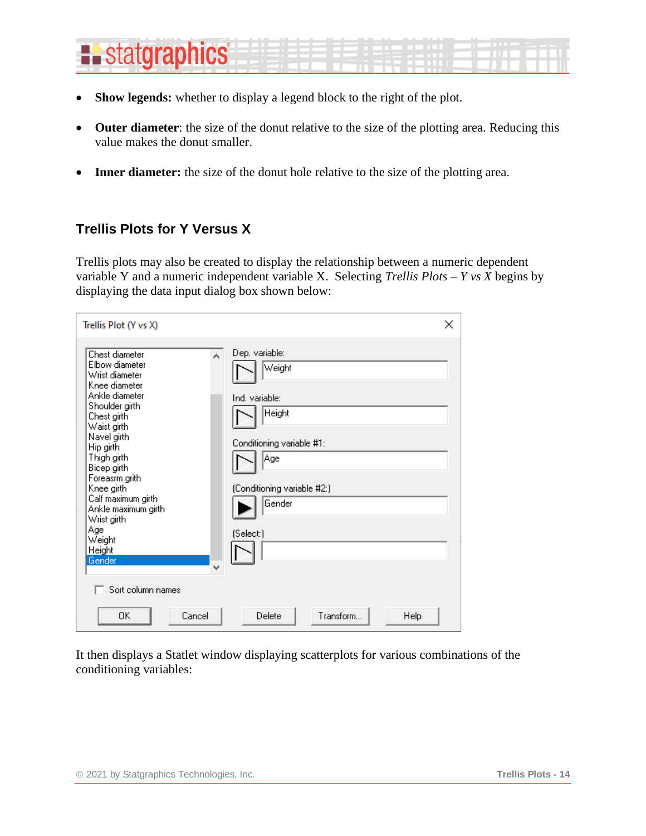# **E.** statgraphics

- **Show legends:** whether to display a legend block to the right of the plot.
- **Outer diameter**: the size of the donut relative to the size of the plotting area. Reducing this value makes the donut smaller.
- **Inner diameter:** the size of the donut hole relative to the size of the plotting area.

### <span id="page-13-0"></span>**Trellis Plots for Y Versus X**

Trellis plots may also be created to display the relationship between a numeric dependent variable Y and a numeric independent variable X. Selecting *Trellis Plots – Y vs X* begins by displaying the data input dialog box shown below:

| Trellis Plot (Y vs X)                                                                                                                                                                                                                                                                                                                                          | ×                                                                                                                                              |
|----------------------------------------------------------------------------------------------------------------------------------------------------------------------------------------------------------------------------------------------------------------------------------------------------------------------------------------------------------------|------------------------------------------------------------------------------------------------------------------------------------------------|
| Chest diameter<br>A<br>Elbow diameter<br>Wrist diameter<br>Knee diameter<br>Ankle diameter<br>Shoulder girth<br>Chest girth<br>Waist girth<br>Navel girth<br>Hip girth<br>Thigh girth<br>Bicep girth<br>Foreasm grith<br>Knee girth<br>Calf maximum girth<br>Ankle maximum girth<br>Wrist girth<br>Age<br>Weight<br>Height<br>Gender<br>v<br>Sort column names | Dep. variable:<br>Weight<br>Ind. variable:<br>Height<br>Conditioning variable #1:<br>Age<br>(Conditioning variable #2:)<br>Gender<br>(Select:) |
| ΩK<br>Cancel                                                                                                                                                                                                                                                                                                                                                   | Transform<br>Delete<br>Help                                                                                                                    |

It then displays a Statlet window displaying scatterplots for various combinations of the conditioning variables: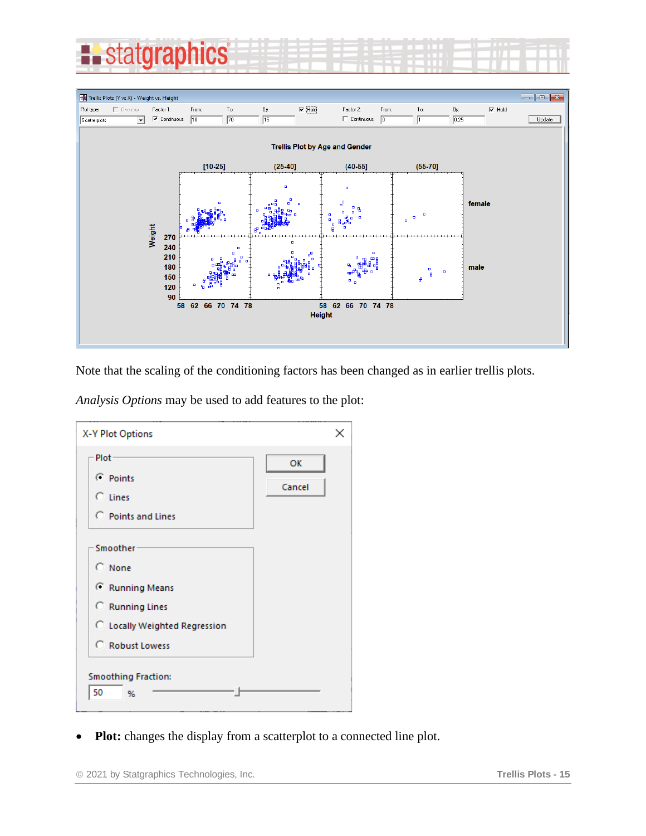



Note that the scaling of the conditioning factors has been changed as in earlier trellis plots.

*Analysis Options* may be used to add features to the plot:

| X-Y Plot Options                                                                                                   | ×            |
|--------------------------------------------------------------------------------------------------------------------|--------------|
| Plot-<br>C Points<br>$C$ Lines<br>C Points and Lines                                                               | OK<br>Cancel |
| Smoother<br>$\circ$ None<br>C Running Means<br>C Running Lines<br>C Locally Weighted Regression<br>C Robust Lowess |              |
| <b>Smoothing Fraction:</b><br>50<br>%                                                                              |              |

• **Plot:** changes the display from a scatterplot to a connected line plot.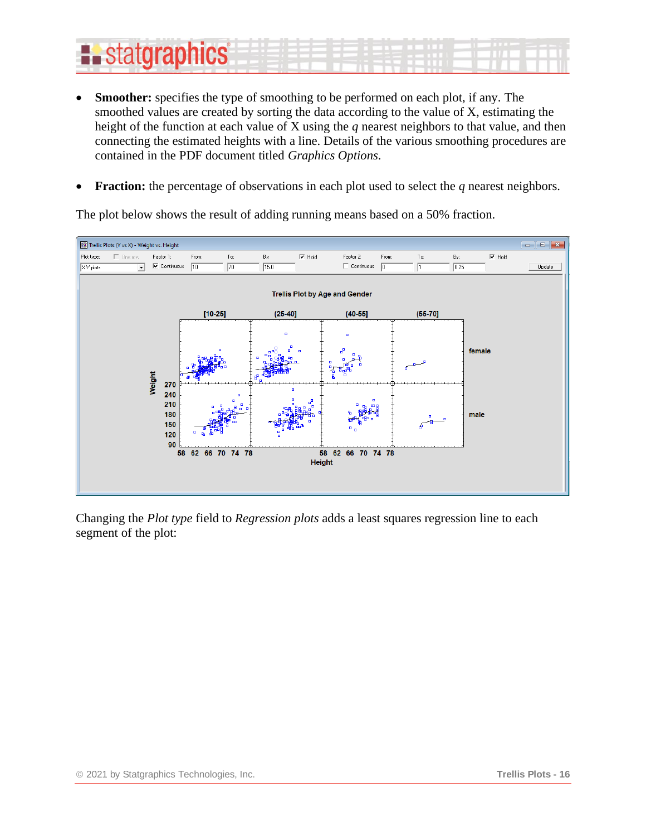# **Existatgraphics**

- **Smoother:** specifies the type of smoothing to be performed on each plot, if any. The smoothed values are created by sorting the data according to the value of X, estimating the height of the function at each value of X using the *q* nearest neighbors to that value, and then connecting the estimated heights with a line. Details of the various smoothing procedures are contained in the PDF document titled *Graphics Options*.
- **Fraction:** the percentage of observations in each plot used to select the *q* nearest neighbors.

The plot below shows the result of adding running means based on a 50% fraction.



Changing the *Plot type* field to *Regression plots* adds a least squares regression line to each segment of the plot: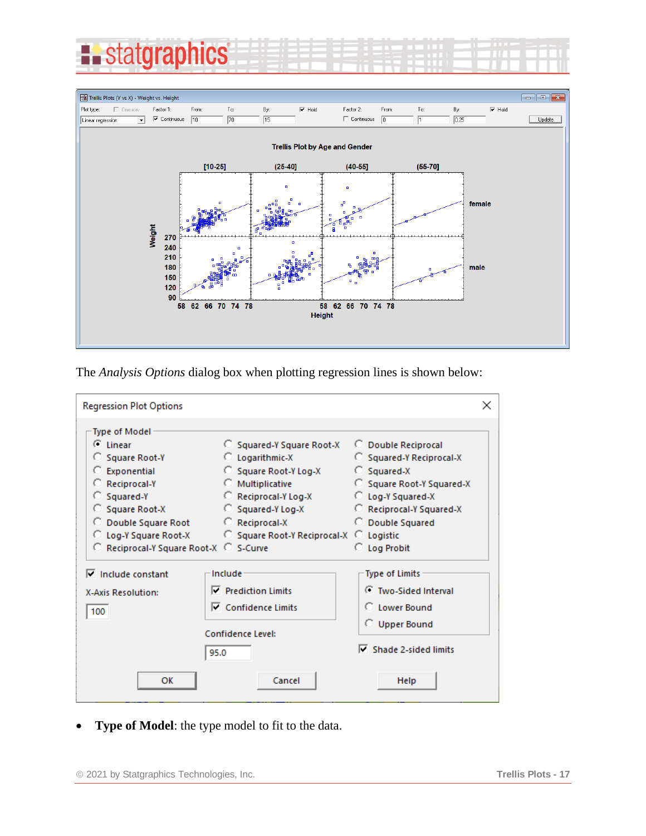



The *Analysis Options* dialog box when plotting regression lines is shown below:

| <b>Regression Plot Options</b>                                                                           |                                                                                                                        | ×                                                                                                                       |
|----------------------------------------------------------------------------------------------------------|------------------------------------------------------------------------------------------------------------------------|-------------------------------------------------------------------------------------------------------------------------|
| Type of Model<br>$G$ Linear<br>Square Root-Y<br>C Exponential<br>C Reciprocal-Y<br>$C$ Squared-Y         | C Squared-Y Square Root-X<br>C Logarithmic-X<br>Square Root-Y Log-X<br><b>C</b> Multiplicative<br>C Reciprocal-Y Log-X | C Double Reciprocal<br>Squared-Y Reciprocal-X<br>$C$ Squared-X<br>Square Root-Y Squared-X<br>C Log-Y Squared-X          |
| Square Root-X<br>C Double Square Root<br>C Log-Y Square Root-X<br>C Reciprocal-Y Square Root-X C S-Curve | $\circ$ Squared-Y Log-X<br>C Reciprocal-X<br>○ Square Root-Y Reciprocal-X ○ Logistic                                   | C Reciprocal-Y Squared-X<br>C Double Squared<br><b>C</b> Log Probit                                                     |
| $\nabla$ Include constant<br><b>X-Axis Resolution:</b><br>100                                            | Include<br>$\nabla$ Prediction Limits<br>$\nabla$ Confidence Limits<br>Confidence Level:<br>95.0                       | <b>Type of Limits</b><br>C Two-Sided Interval<br>C Lower Bound<br><b>C</b> Upper Bound<br>$\nabla$ Shade 2-sided limits |
| OK                                                                                                       | Cancel                                                                                                                 | Help                                                                                                                    |

• **Type of Model**: the type model to fit to the data.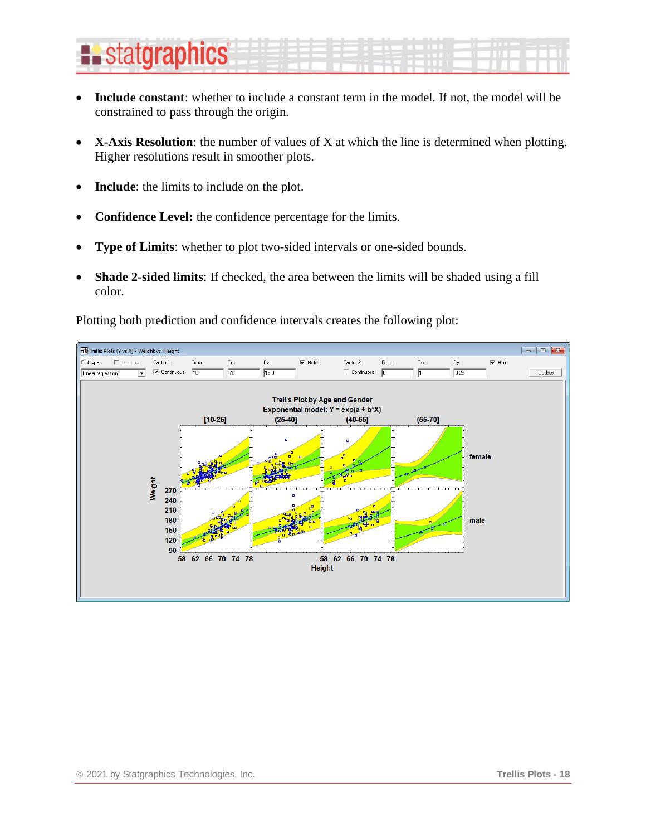# **Existatgraphics**

- **Include constant**: whether to include a constant term in the model. If not, the model will be constrained to pass through the origin.
- **X-Axis Resolution**: the number of values of X at which the line is determined when plotting. Higher resolutions result in smoother plots.
- **Include**: the limits to include on the plot.
- **Confidence Level:** the confidence percentage for the limits.
- **Type of Limits**: whether to plot two-sided intervals or one-sided bounds.
- **Shade 2-sided limits**: If checked, the area between the limits will be shaded using a fill color.

Plotting both prediction and confidence intervals creates the following plot:

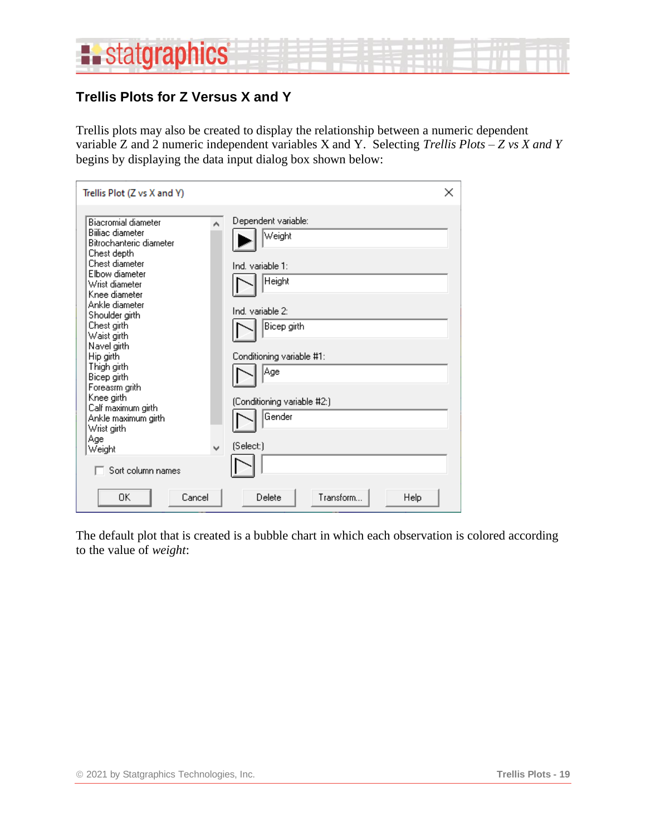

### <span id="page-18-0"></span>**Trellis Plots for Z Versus X and Y**

Trellis plots may also be created to display the relationship between a numeric dependent variable Z and 2 numeric independent variables X and Y. Selecting *Trellis Plots – Z vs X and Y* begins by displaying the data input dialog box shown below:

| Trellis Plot (Z vs X and Y)                                                                                                                                                                                                                                                                                                                                                                                                       |                                                                                                                                                                                           | × |
|-----------------------------------------------------------------------------------------------------------------------------------------------------------------------------------------------------------------------------------------------------------------------------------------------------------------------------------------------------------------------------------------------------------------------------------|-------------------------------------------------------------------------------------------------------------------------------------------------------------------------------------------|---|
| <b>Biacromial diameter</b><br>Biiliac diameter<br>Bitrochanteric diameter<br>Chest depth<br>Chest diameter<br>Elbow diameter<br>Wrist diameter<br>Knee diameter<br>Ankle diameter<br>Shoulder girth<br>Chest girth<br>Waist girth<br>Navel girth<br>Hip girth<br>Thigh girth<br>Bicep girth<br>Foreasm grith<br>Knee girth<br>Calf maximum girth<br>Ankle maximum girth<br>Wrist girth<br>Age<br>v<br>Weight<br>Sort column names | Dependent variable:<br>Weight<br>Ind. variable 1:<br>Height<br>Ind. variable 2:<br>Bicep girth<br>Conditioning variable #1:<br> Age<br>(Conditioning variable #2:)<br>Gender<br>(Select:) |   |
| Cancel<br>ΟK                                                                                                                                                                                                                                                                                                                                                                                                                      | Transform<br>Delete<br>Help                                                                                                                                                               |   |

The default plot that is created is a bubble chart in which each observation is colored according to the value of *weight*: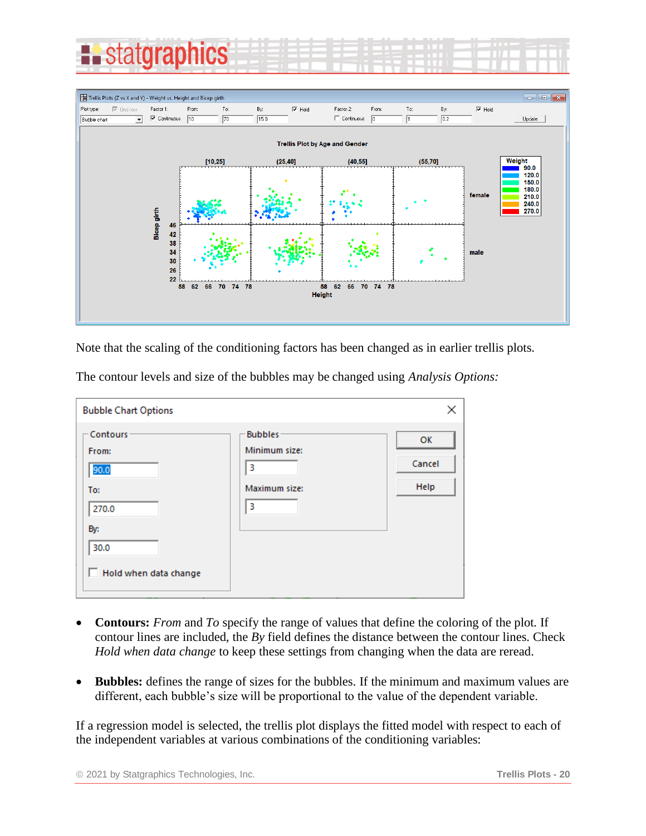



Note that the scaling of the conditioning factors has been changed as in earlier trellis plots.

The contour levels and size of the bubbles may be changed using *Analysis Options:*

| <b>Bubble Chart Options</b> |                    | ×      |
|-----------------------------|--------------------|--------|
| Contours                    | <b>Bubbles</b>     | OK     |
| From:<br>90.0               | Minimum size:<br>3 | Cancel |
| To:                         | Maximum size:      | Help   |
| 270.0<br>By:                | 3                  |        |
| 30.0                        |                    |        |
| Hold when data change<br>L. |                    |        |
|                             |                    |        |

- **Contours:** *From* and *To* specify the range of values that define the coloring of the plot. If contour lines are included, the *By* field defines the distance between the contour lines. Check *Hold when data change* to keep these settings from changing when the data are reread.
- **Bubbles:** defines the range of sizes for the bubbles. If the minimum and maximum values are different, each bubble's size will be proportional to the value of the dependent variable.

If a regression model is selected, the trellis plot displays the fitted model with respect to each of the independent variables at various combinations of the conditioning variables: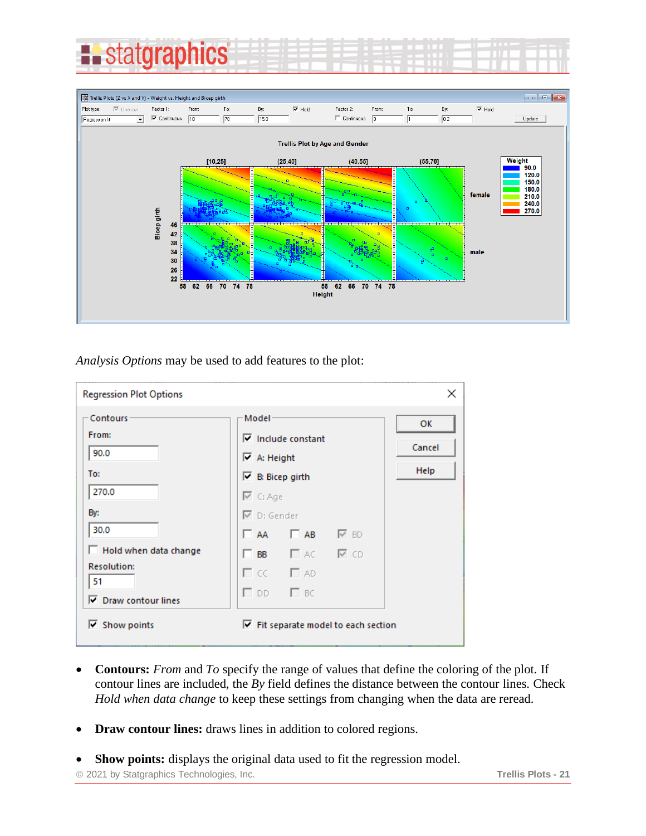



*Analysis Options* may be used to add features to the plot:

| <b>Regression Plot Options</b>                          |                                                                                                                                            | ×                    |
|---------------------------------------------------------|--------------------------------------------------------------------------------------------------------------------------------------------|----------------------|
| Contours<br>From:<br>90.0<br>To:<br>270.0               | Model<br>$\nabla$ Include constant<br>$\triangledown$ A: Height<br>$\triangleright$ B: Bicep girth<br>$\overline{\trianglerighteq}$ C: Age | ок<br>Cancel<br>Help |
| By:<br>30.0<br>Hold when data change                    | $\overline{\triangledown}$ D: Gender<br>$\Box$ AA $\Box$ AB $\Box$ BD                                                                      |                      |
| <b>Resolution:</b><br>51<br><b>▽</b> Draw contour lines | $\Box$ BB $\Box$ ac $\Box$ cd<br>$\Box$ CC $\Box$ AD<br>$\square$ DD $\square$ BC                                                          |                      |
| $\overline{\mathsf{v}}$ Show points                     | $\triangledown$ Fit separate model to each section                                                                                         |                      |

- **Contours:** *From* and *To* specify the range of values that define the coloring of the plot. If contour lines are included, the *By* field defines the distance between the contour lines. Check *Hold when data change* to keep these settings from changing when the data are reread.
- **Draw contour lines:** draws lines in addition to colored regions.

• **Show points:** displays the original data used to fit the regression model.

© 2021 by Statgraphics Technologies, Inc. **Trellis Plots - 21**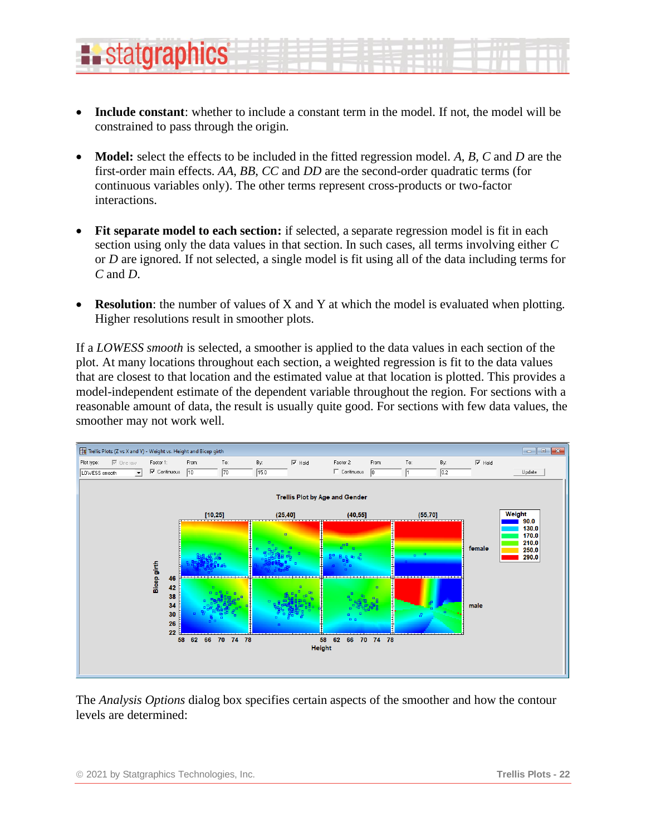- **Include constant**: whether to include a constant term in the model. If not, the model will be constrained to pass through the origin.
- **Model:** select the effects to be included in the fitted regression model. *A*, *B*, *C* and *D* are the first-order main effects. *AA*, *BB*, *CC* and *DD* are the second-order quadratic terms (for continuous variables only). The other terms represent cross-products or two-factor interactions.
- Fit separate model to each section: if selected, a separate regression model is fit in each section using only the data values in that section. In such cases, all terms involving either *C* or *D* are ignored. If not selected, a single model is fit using all of the data including terms for *C* and *D*.
- **Resolution**: the number of values of X and Y at which the model is evaluated when plotting. Higher resolutions result in smoother plots.

If a *LOWESS smooth* is selected, a smoother is applied to the data values in each section of the plot. At many locations throughout each section, a weighted regression is fit to the data values that are closest to that location and the estimated value at that location is plotted. This provides a model-independent estimate of the dependent variable throughout the region. For sections with a reasonable amount of data, the result is usually quite good. For sections with few data values, the smoother may not work well.



The *Analysis Options* dialog box specifies certain aspects of the smoother and how the contour levels are determined:

**L.** statgraphics